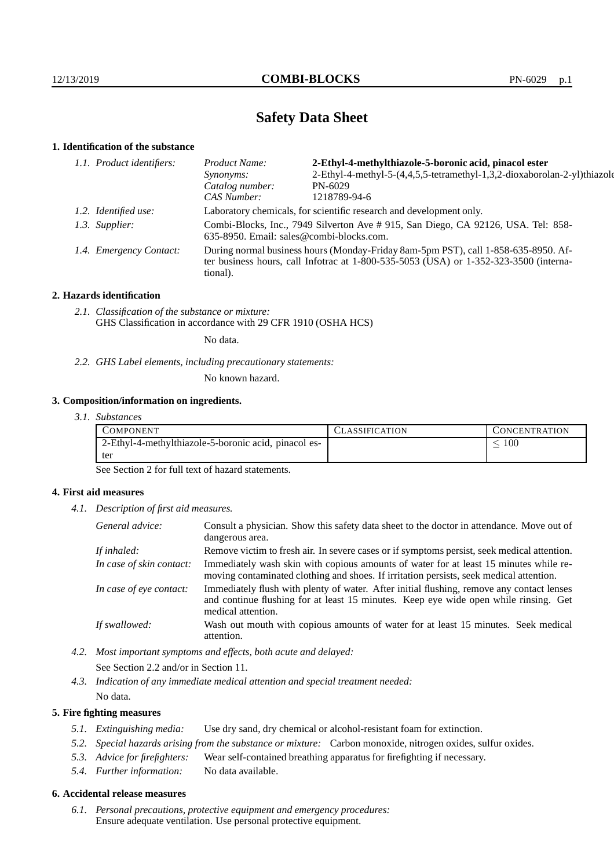# **Safety Data Sheet**

# **1. Identification of the substance**

| 1.1. Product identifiers: | 2-Ethyl-4-methylthiazole-5-boronic acid, pinacol ester<br>Product Name:                                                                                                                 |                                                                          |  |
|---------------------------|-----------------------------------------------------------------------------------------------------------------------------------------------------------------------------------------|--------------------------------------------------------------------------|--|
|                           | <i>Synonyms:</i>                                                                                                                                                                        | 2-Ethyl-4-methyl-5-(4,4,5,5-tetramethyl-1,3,2-dioxaborolan-2-yl)thiazole |  |
|                           | Catalog number:                                                                                                                                                                         | PN-6029                                                                  |  |
|                           | CAS Number:                                                                                                                                                                             | 1218789-94-6                                                             |  |
| 1.2. Identified use:      | Laboratory chemicals, for scientific research and development only.                                                                                                                     |                                                                          |  |
| 1.3. Supplier:            | Combi-Blocks, Inc., 7949 Silverton Ave #915, San Diego, CA 92126, USA. Tel: 858-<br>635-8950. Email: sales@combi-blocks.com.                                                            |                                                                          |  |
| 1.4. Emergency Contact:   | During normal business hours (Monday-Friday 8am-5pm PST), call 1-858-635-8950. Af-<br>ter business hours, call Infotrac at 1-800-535-5053 (USA) or 1-352-323-3500 (interna-<br>tional). |                                                                          |  |

## **2. Hazards identification**

*2.1. Classification of the substance or mixture:* GHS Classification in accordance with 29 CFR 1910 (OSHA HCS)

No data.

*2.2. GHS Label elements, including precautionary statements:*

No known hazard.

# **3. Composition/information on ingredients.**

| 3.1. Substances |  |
|-----------------|--|
|                 |  |

| COMPONENT                                            | CLASSIFICATION | <b>CONCENTRATION</b> |
|------------------------------------------------------|----------------|----------------------|
| 2-Ethyl-4-methylthiazole-5-boronic acid, pinacol es- |                | 100                  |
| tei                                                  |                |                      |

See Section 2 for full text of hazard statements.

## **4. First aid measures**

*4.1. Description of first aid measures.*

| General advice:          | Consult a physician. Show this safety data sheet to the doctor in attendance. Move out of<br>dangerous area.                                                                                            |
|--------------------------|---------------------------------------------------------------------------------------------------------------------------------------------------------------------------------------------------------|
| If inhaled:              | Remove victim to fresh air. In severe cases or if symptoms persist, seek medical attention.                                                                                                             |
| In case of skin contact: | Immediately wash skin with copious amounts of water for at least 15 minutes while re-<br>moving contaminated clothing and shoes. If irritation persists, seek medical attention.                        |
| In case of eye contact:  | Immediately flush with plenty of water. After initial flushing, remove any contact lenses<br>and continue flushing for at least 15 minutes. Keep eye wide open while rinsing. Get<br>medical attention. |
| If swallowed:            | Wash out mouth with copious amounts of water for at least 15 minutes. Seek medical<br>attention.                                                                                                        |

*4.2. Most important symptoms and effects, both acute and delayed:*

See Section 2.2 and/or in Section 11.

*4.3. Indication of any immediate medical attention and special treatment needed:*

No data.

# **5. Fire fighting measures**

- *5.1. Extinguishing media:* Use dry sand, dry chemical or alcohol-resistant foam for extinction.
- *5.2. Special hazards arising from the substance or mixture:* Carbon monoxide, nitrogen oxides, sulfur oxides.
- *5.3. Advice for firefighters:* Wear self-contained breathing apparatus for firefighting if necessary.
- *5.4. Further information:* No data available.

## **6. Accidental release measures**

*6.1. Personal precautions, protective equipment and emergency procedures:* Ensure adequate ventilation. Use personal protective equipment.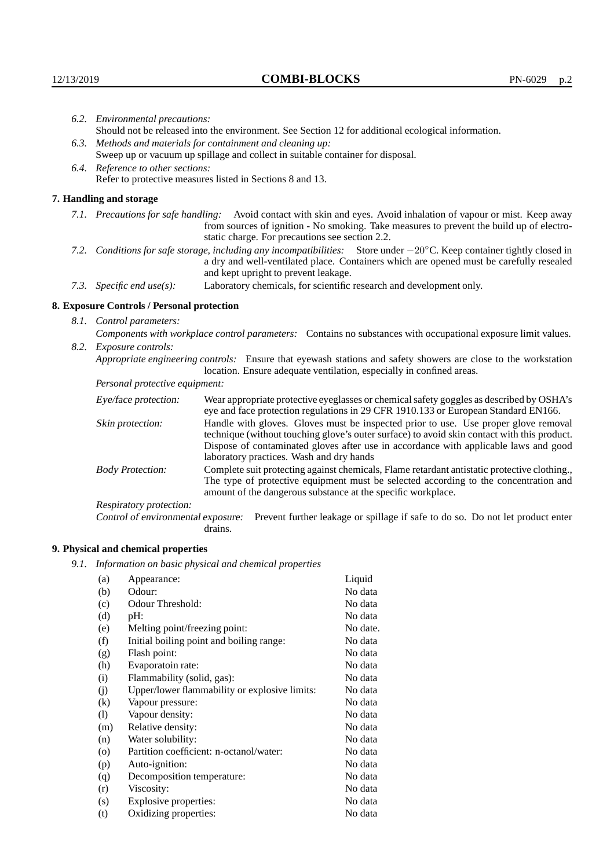|                  | 6.2. Environmental precautions:<br>Should not be released into the environment. See Section 12 for additional ecological information.                                                                                                                               |                                                                                                                                                                                    |  |
|------------------|---------------------------------------------------------------------------------------------------------------------------------------------------------------------------------------------------------------------------------------------------------------------|------------------------------------------------------------------------------------------------------------------------------------------------------------------------------------|--|
|                  | 6.3. Methods and materials for containment and cleaning up:                                                                                                                                                                                                         |                                                                                                                                                                                    |  |
|                  | Sweep up or vacuum up spillage and collect in suitable container for disposal.                                                                                                                                                                                      |                                                                                                                                                                                    |  |
|                  | 6.4. Reference to other sections:                                                                                                                                                                                                                                   |                                                                                                                                                                                    |  |
|                  | Refer to protective measures listed in Sections 8 and 13.                                                                                                                                                                                                           |                                                                                                                                                                                    |  |
|                  | 7. Handling and storage                                                                                                                                                                                                                                             |                                                                                                                                                                                    |  |
|                  | 7.1. Precautions for safe handling: Avoid contact with skin and eyes. Avoid inhalation of vapour or mist. Keep away<br>from sources of ignition - No smoking. Take measures to prevent the build up of electro-<br>static charge. For precautions see section 2.2.  |                                                                                                                                                                                    |  |
|                  | 7.2. Conditions for safe storage, including any incompatibilities: Store under $-20^{\circ}$ C. Keep container tightly closed in<br>a dry and well-ventilated place. Containers which are opened must be carefully resealed<br>and kept upright to prevent leakage. |                                                                                                                                                                                    |  |
|                  | Laboratory chemicals, for scientific research and development only.<br>7.3. Specific end use(s):                                                                                                                                                                    |                                                                                                                                                                                    |  |
|                  | 8. Exposure Controls / Personal protection                                                                                                                                                                                                                          |                                                                                                                                                                                    |  |
|                  | 8.1. Control parameters:                                                                                                                                                                                                                                            |                                                                                                                                                                                    |  |
|                  | Components with workplace control parameters: Contains no substances with occupational exposure limit values.                                                                                                                                                       |                                                                                                                                                                                    |  |
|                  | 8.2. Exposure controls:                                                                                                                                                                                                                                             |                                                                                                                                                                                    |  |
|                  | Appropriate engineering controls: Ensure that eyewash stations and safety showers are close to the workstation<br>location. Ensure adequate ventilation, especially in confined areas.                                                                              |                                                                                                                                                                                    |  |
|                  | Personal protective equipment:                                                                                                                                                                                                                                      |                                                                                                                                                                                    |  |
|                  | Eye/face protection:                                                                                                                                                                                                                                                | Wear appropriate protective eyeglasses or chemical safety goggles as described by OSHA's<br>eye and face protection regulations in 29 CFR 1910.133 or European Standard EN166.     |  |
| Skin protection: |                                                                                                                                                                                                                                                                     | Handle with gloves. Gloves must be inspected prior to use. Use proper glove removal<br>technique (without touching glove's outer surface) to avoid skin contact with this product. |  |

# **8. Exposure Controls / Personal protection**

| Eye/face protection:<br>Wear appropriate protective eyeglasses or chemical safety goggles as described by OSHA's<br>eye and face protection regulations in 29 CFR 1910.133 or European Standard EN166. |                                                                                                                                                                                                                                                                                                                        |  |  |
|--------------------------------------------------------------------------------------------------------------------------------------------------------------------------------------------------------|------------------------------------------------------------------------------------------------------------------------------------------------------------------------------------------------------------------------------------------------------------------------------------------------------------------------|--|--|
| Skin protection:                                                                                                                                                                                       | Handle with gloves. Gloves must be inspected prior to use. Use proper glove removal<br>technique (without touching glove's outer surface) to avoid skin contact with this product.<br>Dispose of contaminated gloves after use in accordance with applicable laws and good<br>laboratory practices. Wash and dry hands |  |  |
| <b>Body Protection:</b>                                                                                                                                                                                | Complete suit protecting against chemicals, Flame retardant antistatic protective clothing.,<br>The type of protective equipment must be selected according to the concentration and<br>amount of the dangerous substance at the specific workplace.                                                                   |  |  |
| Respiratory protection:                                                                                                                                                                                |                                                                                                                                                                                                                                                                                                                        |  |  |
| Control of environmental exposure:                                                                                                                                                                     | Prevent further leakage or spillage if safe to do so. Do not let product enter<br>drains.                                                                                                                                                                                                                              |  |  |

# **9. Physical and chemical properties**

*9.1. Information on basic physical and chemical properties*

| (a)                        | Appearance:                                   | Liquid   |
|----------------------------|-----------------------------------------------|----------|
| (b)                        | Odour:                                        | No data  |
| (c)                        | Odour Threshold:                              | No data  |
| (d)                        | pH:                                           | No data  |
| (e)                        | Melting point/freezing point:                 | No date. |
| (f)                        | Initial boiling point and boiling range:      | No data  |
| (g)                        | Flash point:                                  | No data  |
| (h)                        | Evaporatoin rate:                             | No data  |
| (i)                        | Flammability (solid, gas):                    | No data  |
| (j)                        | Upper/lower flammability or explosive limits: | No data  |
| $\rm(k)$                   | Vapour pressure:                              | No data  |
| $\left( \mathrm{l}\right)$ | Vapour density:                               | No data  |
| (m)                        | Relative density:                             | No data  |
| (n)                        | Water solubility:                             | No data  |
| $\circ$                    | Partition coefficient: n-octanol/water:       | No data  |
| (p)                        | Auto-ignition:                                | No data  |
| (q)                        | Decomposition temperature:                    | No data  |
| (r)                        | Viscosity:                                    | No data  |
| (s)                        | Explosive properties:                         | No data  |
| (t)                        | Oxidizing properties:                         | No data  |